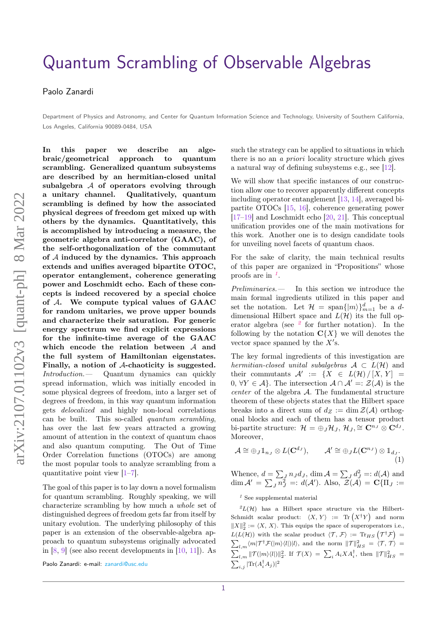# [Quantum Scrambling of Observable Algebras](https://quantum-journal.org/?s=Quantum%20Scrambling%20of%20Observable%20Algebras&reason=title-click)

Paolo Zanardi

Department of Physics and Astronomy, and Center for Quantum Information Science and Technology, University of Southern California, Los Angeles, California 90089-0484, USA

**In this paper we describe an algebraic/geometrical approach to quantum scrambling. Generalized quantum subsystems are described by an hermitian-closed unital subalgebra** A **of operators evolving through a unitary channel. Qualitatively, quantum scrambling is defined by how the associated physical degrees of freedom get mixed up with others by the dynamics. Quantitatively, this is accomplished by introducing a measure, the geometric algebra anti-correlator (GAAC), of the self-orthogonalization of the commutant of** A **induced by the dynamics. This approach extends and unifies averaged bipartite OTOC, operator entanglement, coherence generating power and Loschmidt echo. Each of these concepts is indeed recovered by a special choice of** A**. We compute typical values of GAAC for random unitaries, we prove upper bounds and characterize their saturation. For generic energy spectrum we find explicit expressions for the infinite-time average of the GAAC which encode the relation between** A **and the full system of Hamiltonian eigenstates. Finally, a notion of** A**-chaoticity is suggested.** Introduction.— Quantum dynamics can quickly spread information, which was initially encoded in some physical degrees of freedom, into a larger set of degrees of freedom, in this way quantum information gets delocalized and highly non-local correlations can be built. This so-called quantum scrambling, has over the last few years attracted a growing amount of attention in the context of quantum chaos and also quantum computing. The Out of Time Order Correlation functions (OTOCs) are among the most popular tools to analyze scrambling from a quantitative point view  $[1-7]$  $[1-7]$ .

The goal of this paper is to lay down a novel formalism for quantum scrambling. Roughly speaking, we will characterize scrambling by how much a whole set of distinguished degrees of freedom gets far from itself by unitary evolution. The underlying philosophy of this paper is an extension of the observable-algebra approach to quantum subsystems originally advocated in  $[8, 9]$  $[8, 9]$  $[8, 9]$  (see also recent developments in  $[10, 11]$  $[10, 11]$  $[10, 11]$ ). As such the strategy can be applied to situations in which there is no an a priori locality structure which gives a natural way of defining subsystems e.g., see [\[12\]](#page-5-6).

We will show that specific instances of our construction allow one to recover apparently different concepts including operator entanglement [\[13,](#page-5-7) [14\]](#page-5-8), averaged bipartite OTOCs [\[15,](#page-5-9) [16\]](#page-5-10), coherence generating power [\[17](#page-5-11)[–19\]](#page-5-12) and Loschmidt echo [\[20,](#page-5-13) [21\]](#page-5-14). This conceptual unification provides one of the main motivations for this work. Another one is to design candidate tools for unveiling novel facets of quantum chaos.

For the sake of clarity, the main technical results of this paper are organized in "Propositions" whose proofs are in *[1](#page-0-0)* .

Preliminaries.— In this section we introduce the main formal ingredients utilized in this paper and set the notation. Let  $\mathcal{H} = \text{span}\{|m\rangle\}_{m=1}^d$  be a *d*dimensional Hilbert space and  $L(\mathcal{H})$  its the full operator algebra (see *[2](#page-0-1)* for further notation). In the following by the notation  $C{X}$  we will denotes the vector space spanned by the  $X$ 's.

The key formal ingredients of this investigation are hermitian-closed unital subalgebras  $A \subset L(H)$  and their commutants  $\mathcal{A}' := \{ X \in L(\mathcal{H}) / [X, Y] =$ 0*,* ∀*Y* ∈ A}. The intersection  $A \cap A' =: \mathcal{Z}(A)$  is the center of the algebra A*.* The fundamental structure theorem of these objects states that the Hilbert space breaks into a direct sum of  $d_Z := \dim \mathcal{Z}(\mathcal{A})$  orthogonal blocks and each of them has a tensor product bi-partite structure:  $\mathcal{H} = \bigoplus_{J} \mathcal{H}_{J}, \mathcal{H}_{J} \cong \mathbf{C}^{n_{J}} \otimes \mathbf{C}^{d_{J}}$ . Moreover,

<span id="page-0-2"></span>
$$
\mathcal{A} \cong \bigoplus_J \mathbb{1}_{n_J} \otimes L(\mathbf{C}^{d_J}), \qquad \mathcal{A}' \cong \bigoplus_J L(\mathbf{C}^{n_J}) \otimes \mathbb{1}_{d_J}.
$$
\n(1)

Whence,  $d = \sum_{J} n_{J} d_{J}$ ,  $\dim \mathcal{A} = \sum_{J} d_{J}^{2} =: d(\mathcal{A})$  and  $\dim \mathcal{A}' = \sum_{J} n_{J}^{2} =: d(\mathcal{A}')$ . Also,  $\mathcal{Z}(\mathcal{A}) = \mathbf{C} {\{\Pi_J := \Pi_{J}\}}$ 

#### <span id="page-0-1"></span><span id="page-0-0"></span>*<sup>1</sup>* See supplemental material

 $^{2}L(\mathcal{H})$  has a Hilbert space structure via the Hilbert-Schmidt scalar product:  $\langle X, Y \rangle := \text{Tr} (X^{\dagger}Y)$  and norm  $||X||_2^2 := \langle X, X \rangle$ . This equips the space of superoperators i.e.,  $L(L(\mathcal{H}))$  with the scalar product  $\langle \mathcal{T}, \mathcal{F} \rangle := \text{Tr}_{HS} \left( \mathcal{T}^{\dagger} \mathcal{F} \right)$  $L(L(\mathcal{H}))$  with the scalar product  $\langle \mathcal{T}, \mathcal{F} \rangle := \text{Tr}_{HS} \left( \mathcal{T}^{\dagger} \mathcal{F} \right) = \sum_{l,m} \langle m | \mathcal{T}^{\dagger} \mathcal{F}(|m\rangle \langle l|) | l \rangle$ , and the norm  $||\mathcal{T}||_{HS}^2 = \langle \mathcal{T}, \mathcal{T} \rangle =$  $\sum_{l,m} ||\mathcal{T}(|m\rangle\langle l|)||_2^2$ . If  $\mathcal{T}(X) = \sum_{i} A_i X A_i^{\dagger}$ , then  $||\mathcal{T}||_{HS}^2 =$  $\sum_{i,j} |\text{Tr}(A_i^\dagger A_j)|^2$ 

Paolo Zanardi: e-mail: [zanardi@usc.edu](mailto:zanardi@usc.edu)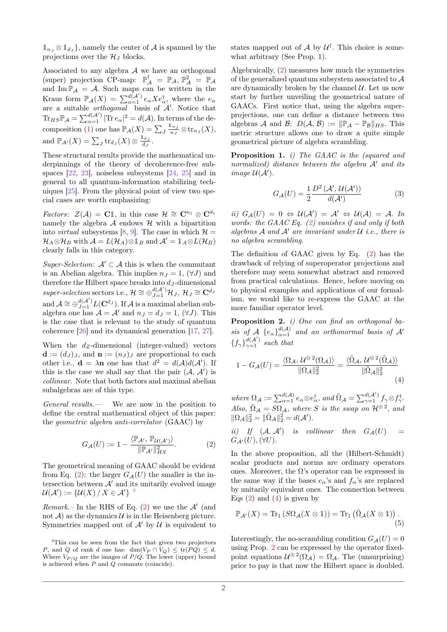$\mathbb{1}_{n} \otimes \mathbb{1}_{d}$ , namely the center of A is spanned by the projections over the  $\mathcal{H}_I$  blocks.

Associated to any algebra  $A$  we have an orthogonal (super) projection CP-map:  $\mathbb{P}_{\mathcal{A}}^{\dagger} = \mathbb{P}_{\mathcal{A}}, \mathbb{P}_{\mathcal{A}}^2 = \mathbb{P}_{\mathcal{A}}$ and  $\text{Im } \mathbb{P}_{\mathcal{A}} = \mathcal{A}$ . Such maps can be written in the Kraus form  $\mathbb{P}_{\mathcal{A}}(X) = \sum_{\alpha=1}^{d(\mathcal{A}')} e_{\alpha} X e_{\alpha}^{\dagger}$ , where the  $e_{\alpha}$ are a suitable *orthogonal* basis of  $A'$ . Notice that  $\text{Tr}_{HS} \mathbb{P}_\mathcal{A} = \sum_{\alpha=1}^{d(\mathcal{A}')} |\text{Tr } e_\alpha|^2 = d(\mathcal{A}).$  In terms of the de-composition [\(1\)](#page-0-2) one has  $\mathbb{P}_{\mathcal{A}}(X) = \sum_{J} \frac{1_{nJ}}{n_{J}} \otimes \text{tr}_{n_{J}}(X)$ , and  $\mathbb{P}_{\mathcal{A}'}(X) = \sum_J \text{tr}_{d_J}(X) \otimes \frac{\mathbb{1}_{d_J}}{d_J}.$ 

These structural results provide the mathematical underpinnings of the theory of decoherence-free subspaces [\[22,](#page-5-15) [23\]](#page-5-16), noiseless subsystems [\[24,](#page-5-17) [25\]](#page-5-18) and in general to all quantum-information stabilizing techniques [\[25\]](#page-5-18). From the physical point of view two special cases are worth emphasizing:

*Factors:*  $\mathcal{Z}(\mathcal{A}) = \mathbf{C} \mathbb{1}$ , in this case  $\mathcal{H} \cong \mathbf{C}^{n_1} \otimes \mathbf{C}^{d_1}$ namely the algebra  $A$  endows  $H$  with a bipartition into *virtual* subsystems [\[8,](#page-5-2) [9\]](#page-5-3). The case in which  $\mathcal{H} =$  $\mathcal{H}_A \otimes \mathcal{H}_B$  with  $\mathcal{A} = L(\mathcal{H}_A) \otimes \mathbb{1}_B$  and  $\mathcal{A}' = \mathbb{1}_A \otimes L(\mathcal{H}_B)$ clearly falls in this category.

Super-Selection:  $A' \subset A$  this is when the commutant is an Abelian algebra. This implies  $n_J = 1$ ,  $(\forall J)$  and therefore the Hilbert space breaks into  $d_J$ -dimensional  $super-selection$  sectors i.e.,  $\mathcal{H} \cong \bigoplus_{J=1}^{d(\mathcal{A}')}\mathcal{H}_J$ ,  $\mathcal{H}_J \cong \mathbf{C}^{d_J}$ and  $\mathcal{A} \cong \bigoplus_{J=1}^{d(\mathcal{A}')} L(\mathbf{C}^{d_J})$ . If  $\mathcal{A}$  is a maximal abelian subalgebra one has  $A = A'$  and  $n_J = d_J = 1$ ,  $(\forall J)$ . This is the case that is relevant to the study of quantum coherence [\[26\]](#page-5-19) and its dynamical generation [\[17,](#page-5-11) [27\]](#page-5-20).

When the *dZ*-dimensional (integer-valued) vectors  $\mathbf{d} := (d_J)_J$ , and  $\mathbf{n} := (n_J)_J$  are proportional to each other i.e.,  $\mathbf{d} = \lambda \mathbf{n}$  one has that  $d^2 = d(\mathcal{A})d(\mathcal{A}')$ . If this is the case we shall say that the pair  $(A, \mathcal{A}')$  is collinear. Note that both factors and maximal abelian subalgebras are of this type.

General results.— We are now in the position to define the central mathematical object of this paper: the geometric algebra anti-correlator (GAAC) by

$$
G_{\mathcal{A}}(U) := 1 - \frac{\langle \mathbb{P}_{\mathcal{A}', \mathbb{P}_{\mathcal{U}(\mathcal{A}')}\rangle}{\|\mathbb{P}_{\mathcal{A}'}\|_{HS}^2}.
$$
 (2)

The geometrical meaning of GAAC should be evident from Eq. [\(2\)](#page-1-0): the larger  $G_{\mathcal{A}}(U)$  the smaller is the intersection between  $A'$  and its unitarily evolved image  $\mathcal{U}(\mathcal{A}') := \{ \mathcal{U}(X) / X \in \mathcal{A}' \}$ <sup>[3](#page-1-1)</sup>

Remark.– In the RHS of Eq.  $(2)$  we use the  $A'$  (and not  $\mathcal{A}$  as the dynamics  $\mathcal{U}$  is in the Heisenberg picture. Symmetries mapped out of  $A'$  by  $U$  is equivalent to states mapped out of  $\mathcal A$  by  $\mathcal U^{\dagger}$ . This choice is somewhat arbitrary (See Prop. 1).

Algebraically, [\(2\)](#page-1-0) measures how much the symmetries of the generalized quantum subsystem associated to A are dynamically broken by the channel  $\mathcal{U}$ . Let us now start by further unveiling the geometrical nature of GAACs. First notice that, using the algebra superprojections, one can define a distance between two algebras A and B:  $D(A, B) := ||\mathbb{P}_A - \mathbb{P}_B||_{HS}$ . This metric structure allows one to draw a quite simple geometrical picture of algebra scrambling.

<span id="page-1-4"></span>**Proposition 1.** *i) The GAAC is the (squared and normalized)* distance between the algebra  $\mathcal{A}'$  and its *image*  $U(\mathcal{A}')$ *.* 

<span id="page-1-5"></span>
$$
G_{\mathcal{A}}(U) = \frac{1}{2} \frac{D^2(\mathcal{A}', \mathcal{U}(\mathcal{A}'))}{d(\mathcal{A}')}
$$
(3)

 $ii) G_{\mathcal{A}}(U) = 0 \Leftrightarrow \mathcal{U}(\mathcal{A}') = \mathcal{A}' \Leftrightarrow \mathcal{U}(\mathcal{A}) = \mathcal{A}$ . In *words: the GAAC Eq. [\(2\)](#page-1-0) vanishes if and only if both*  $algebras A$  *and*  $A'$  *are invariant under*  $U$  *i.e., there is no algebra scrambling.*

The definition of GAAC given by Eq. [\(2\)](#page-1-0) has the drawback of relying of superoperator projections and therefore may seem somewhat abstract and removed from practical calculations. Hence, before moving on to physical examples and applications of our formalism, we would like to re-express the GAAC at the more familiar operator level.

<span id="page-1-3"></span>**Proposition 2.** *i) One can find an orthogonal basis of*  $A \{e_{\alpha}\}_{\alpha=1}^{d(A)}$  *and an orthonormal basis of*  $A'$  ${f<sub>γ</sub>}_{γ=1}^{d(A')}$  *such that* 

<span id="page-1-2"></span>
$$
1 - G_{\mathcal{A}}(U) = \frac{\langle \Omega_{\mathcal{A}}, \mathcal{U}^{\otimes 2}(\Omega_{\mathcal{A}}) \rangle}{\|\Omega_{\mathcal{A}}\|_{2}^{2}} = \frac{\langle \tilde{\Omega}_{\mathcal{A}}, \mathcal{U}^{\otimes 2}(\tilde{\Omega}_{\mathcal{A}}) \rangle}{\|\tilde{\Omega}_{\mathcal{A}}\|_{2}^{2}}
$$
(4)

 $where \ \Omega_{\mathcal{A}} := \sum_{\alpha=1}^{d(\mathcal{A})} e_{\alpha} \otimes e_{\alpha}^{\dagger}, \ and \ \tilde{\Omega}_{\mathcal{A}} = \sum_{\gamma=1}^{d(\mathcal{A}')} f_{\gamma} \otimes f_{\gamma}^{\dagger}.$ *Also,*  $\tilde{\Omega}_A = S\Omega_A$ *, where S is the swap on*  $\mathcal{H}^{\otimes 2}$ *, and*  $\|\Omega_{\mathcal{A}}\|_{2}^{2} = \|\tilde{\Omega}_{\mathcal{A}}\|_{2}^{2} = d(\mathcal{A}').$ 

<span id="page-1-0"></span>*ii*) If  $(A, A')$  *is collinear then*  $G_A(U)$  =  $G_{\mathcal{A}'}(U), (\forall U)$ .

In the above proposition, all the (Hilbert-Schmidt) scalar products and norms are ordinary operators ones. Moreover, the  $\Omega$ 's operator can be expressed in the same way if the bases  $e_{\alpha}$ 's and  $f_{\alpha}$ 's are replaced by unitarily equivalent ones. The connection between Eqs  $(2)$  and  $(4)$  is given by

<span id="page-1-6"></span>
$$
\mathbb{P}_{\mathcal{A}'}(X) = \text{Tr}_1(S\Omega_{\mathcal{A}}(X \otimes \mathbb{1})) = \text{Tr}_1(\tilde{\Omega}_{\mathcal{A}}(X \otimes \mathbb{1})).
$$
\n(5)

Interestingly, the no-scrambling condition  $G_{\mathcal{A}}(U) = 0$ using Prop. [2](#page-1-3) can be expressed by the operator fixedpoint equations  $\mathcal{U}^{\otimes 2}(\Omega_{\mathcal{A}}) = \Omega_{\mathcal{A}}$ . The (unsurprising) price to pay is that now the Hilbert space is doubled.

<span id="page-1-1"></span>*<sup>3</sup>*This can be seen from the fact that given two projectors *P*, and *Q* of rank *d* one has: dim( $V_P \cap V_Q$ )  $\leq \text{tr}(PQ) \leq d$ . Where  $V_{P/Q}$  are the images of  $P/Q$ . The lower (upper) bound is achieved when *P* and *Q* commute (coincide).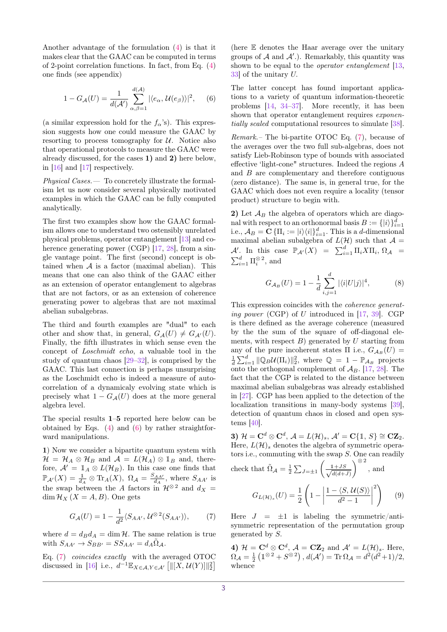Another advantage of the formulation [\(4\)](#page-1-2) is that it makes clear that the GAAC can be computed in terms of 2-point correlation functions. In fact, from Eq. [\(4\)](#page-1-2) one finds (see appendix)

$$
1 - G_{\mathcal{A}}(U) = \frac{1}{d(\mathcal{A}')} \sum_{\alpha,\beta=1}^{d(\mathcal{A})} |\langle e_{\alpha}, \mathcal{U}(e_{\beta}) \rangle|^2, \quad (6)
$$

(a similar expression hold for the  $f_{\alpha}$ 's). This expression suggests how one could measure the GAAC by resorting to process tomography for  $U$ . Notice also that operational protocols to measure the GAAC were already discussed, for the cases **1)** and **2)** here below, in [\[16\]](#page-5-10) and [\[17\]](#page-5-11) respectively.

Physical Cases.— To concretely illustrate the formalism let us now consider several physically motivated examples in which the GAAC can be fully computed analytically.

The first two examples show how the GAAC formalism allows one to understand two ostensibly unrelated physical problems, operator entanglement [\[13\]](#page-5-7) and co-herence generating power (CGP) [\[17,](#page-5-11) [28\]](#page-5-21), from a single vantage point. The first (second) concept is obtained when  $A$  is a factor (maximal abelian). This means that one can also think of the GAAC either as an extension of operator entanglement to algebras that are not factors, or as an extension of coherence generating power to algebras that are not maximal abelian subalgebras.

The third and fourth examples are "dual" to each other and show that, in general,  $G_{\mathcal{A}}(U) \neq G_{\mathcal{A}}(U)$ . Finally, the fifth illustrates in which sense even the concept of Loschmidt echo, a valuable tool in the study of quantum chaos [\[29–](#page-5-22)[32\]](#page-5-23), is comprised by the GAAC. This last connection is perhaps unsurprising as the Loschmidt echo is indeed a measure of autocorrelation of a dynamicaly evolving state which is precisely what  $1 - G<sub>A</sub>(U)$  does at the more general algebra level.

The special results **1**–**5** reported here below can be obtained by Eqs.  $(4)$  and  $(6)$  by rather straightforward manipulations.

**1**) Now we consider a bipartite quantum system with  $\mathcal{H} = \mathcal{H}_A \otimes \mathcal{H}_B$  and  $\mathcal{A} = L(\mathcal{H}_A) \otimes \mathbb{1}_B$  and, therefore,  $A' = \mathbb{1}_A \otimes L(\mathcal{H}_B)$ . In this case one finds that  $\mathbb{P}_{\mathcal{A}'}(X) = \frac{1}{d_A} \otimes \text{Tr}_A(X), \ \Omega_{\mathcal{A}} = \frac{S_{AA'}}{d_A}, \text{ where } S_{AA'} \text{ is }$ the swap between the *A* factors in  $\mathcal{H}^{\otimes 2}$  and  $d_X =$ dim  $\mathcal{H}_X$  ( $X = A, B$ ). One gets

$$
G_{\mathcal{A}}(U) = 1 - \frac{1}{d^2} \langle S_{AA'}, \mathcal{U}^{\otimes 2}(S_{AA'}) \rangle, \tag{7}
$$

where  $d = d_B d_A = \dim \mathcal{H}$ . The same relation is true with  $S_{AA'} \rightarrow S_{BB'} = SS_{AA'} = d_A \Omega_A$ .

Eq. [\(7\)](#page-2-1) coincides exactly with the averaged OTOC discussed in [\[16\]](#page-5-10) i.e.,  $d^{-1} \mathbb{E}_{X \in \mathcal{A}, Y \in \mathcal{A}'} [||[X, \mathcal{U}(Y)]||_2^2]$ 

(here E denotes the Haar average over the unitary groups of  $A$  and  $A'$ .). Remarkably, this quantity was shown to be equal to the *operator entanglement* [\[13,](#page-5-7) [33\]](#page-5-24) of the unitary *U.*

<span id="page-2-0"></span>The latter concept has found important applications to a variety of quantum information-theoretic problems [\[14,](#page-5-8) [34–](#page-5-25)[37\]](#page-5-26). More recently, it has been shown that operator entanglement requires *exponen*tially scaled computational resources to simulate [\[38\]](#page-5-27).

Remark.– The bi-partite OTOC Eq. [\(7\)](#page-2-1), because of the averages over the two full sub-algebras, does not satisfy Lieb-Robinson type of bounds with associated effective 'light-cone" structures. Indeed the regions *A* and *B* are complementary and therefore contiguous (zero distance). The same is, in general true, for the GAAC which does not even require a locality (tensor product) structure to begin with.

**2)** Let A*<sup>B</sup>* the algebra of operators which are diagonal with respect to an orthonormal basis  $B := \{ |i \rangle \}_{i=1}^d$ i.e.,  $A_B = \mathbf{C} \{ \Pi_i := |i\rangle\langle i| \}_{i=1}^d$ . This is a *d*-dimensional maximal abelian subalgebra of  $L(\mathcal{H})$  such that  $\mathcal{A} =$  $\mathcal{A}'$ . In this case  $\mathbb{P}_{\mathcal{A}'}(X) = \sum_{i=1}^d \Pi_i X \Pi_i, \Omega_{\mathcal{A}} =$  $\sum_{i=1}^{d} \Pi_i^{\otimes 2}$ , and

$$
G_{\mathcal{A}_B}(U) = 1 - \frac{1}{d} \sum_{i,j=1}^d |\langle i|U|j\rangle|^4, \tag{8}
$$

This expression coincides with the coherence generating power (CGP) of *U* introduced in [\[17,](#page-5-11) [39\]](#page-5-28). CGP is there defined as the average coherence (measured by the the sum of the square of off-diagonal elements, with respect *B*) generated by *U* starting from any of the pure incoherent states  $\Pi$  i.e.,  $G_{A_B}(U)$  =  $\frac{1}{d} \sum_{i=1}^{d} ||\mathbb{Q}_B \mathcal{U}(\Pi_i)||_2^2$ , where  $\mathbb{Q} = 1 - \mathbb{P}_{\mathcal{A}_B}$  projects onto the orthogonal complement of  $A_B$ . [\[17,](#page-5-11) [28\]](#page-5-21). The fact that the CGP is related to the distance between maximal abelian subalgebras was already established in [\[27\]](#page-5-20). CGP has been applied to the detection of the localization transitions in many-body systems [\[39\]](#page-5-28), detection of quantum chaos in closed and open systems [\[40\]](#page-5-29).

**3)**  $\mathcal{H} = \mathbf{C}^d \otimes \mathbf{C}^d$ ,  $\mathcal{A} = L(\mathcal{H})_s$ ,  $\mathcal{A}' = \mathbf{C} \{ \mathbb{1}, S \} \cong \mathbf{CZ}_2$ . Here,  $L(\mathcal{H})_s$  denotes the algebra of symmetric operators i.e., commuting with the swap *S.* One can readily

check that 
$$
\tilde{\Omega}_{\mathcal{A}} = \frac{1}{2} \sum_{J=\pm 1} \left( \frac{1+JS}{\sqrt{d(d+J)}} \right)^{\otimes 2}
$$
, and  

$$
G_{L(\mathcal{H})_s}(U) = \frac{1}{2} \left( 1 - \left| \frac{1 - \langle S, \mathcal{U}(S) \rangle}{d^2 - 1} \right|^2 \right) \tag{9}
$$

<span id="page-2-1"></span>Here  $J = \pm 1$  is labeling the symmetric/antisymmetric representation of the permutation group generated by *S.*

**4)**  $\mathcal{H} = \mathbf{C}^d \otimes \mathbf{C}^d$ ,  $\mathcal{A} = \mathbf{CZ}_2$  and  $\mathcal{A}' = L(\mathcal{H})_s$ . Here,  $\Omega_{\mathcal{A}} = \frac{1}{2} \left( \mathbb{1}^{\otimes 2} + S^{\otimes 2} \right), d(\mathcal{A}') = \text{Tr} \, \Omega_{\mathcal{A}} = d^2 (d^2 + 1)/2,$ whence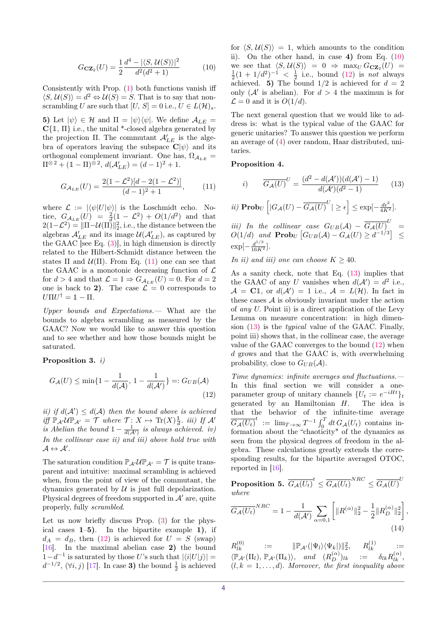$$
G_{\mathbf{CZ}_2}(U) = \frac{1}{2} \frac{d^4 - |\langle S, \mathcal{U}(S) \rangle|^2}{d^2(d^2 + 1)} \tag{10}
$$

Consistently with Prop. [\(1\)](#page-1-4) both functions vanish iff  $\langle S, \mathcal{U}(S) \rangle = d^2 \Leftrightarrow \mathcal{U}(S) = S$ . That is to say that nonscrambling *U* are such that  $[U, S] = 0$  i.e.,  $U \in L(\mathcal{H})_s$ .

**5)** Let  $|\psi\rangle \in \mathcal{H}$  and  $\Pi = |\psi\rangle\langle\psi|$ . We define  $\mathcal{A}_{LE}$ **C**{1*,* Π} i.e., the unital \*-closed algebra generated by the projection  $\Pi$ . The commutant  $\mathcal{A}'_{LE}$  is the algebra of operators leaving the subspace  $\mathbf{C}|\psi\rangle$  and its orthogonal complement invariant. One has,  $\Omega_{A_{LE}} =$  $\Pi^{\otimes 2} + (\mathbb{1} - \Pi)^{\otimes 2}, d(\mathcal{A}_{LE}') = (d-1)^2 + 1.$ 

$$
G_{\mathcal{A}_{LE}}(U) = \frac{2(1 - \mathcal{L}^2)[d - 2(1 - \mathcal{L}^2)]}{(d - 1)^2 + 1},
$$
 (11)

where  $\mathcal{L} := |\langle \psi | U | \psi \rangle|$  is the Loschmidt echo. Notice,  $G_{A_{LE}}(U) = \frac{2}{d}(1 - \mathcal{L}^2) + O(1/d^2)$  and that  $2(1-\mathcal{L}^2) = \|\Pi - \mathcal{U}(\Pi)\|_2^2$ , i.e., the distance between the algebras  $\mathcal{A}_{LE}'$  and its image  $\mathcal{U}(\mathcal{A}_{LE}'),$  as captured by the GAAC [see Eq.  $(3)$ ], in high dimension is directly related to the Hilbert-Schmidt distance between the states  $\Pi$  and  $\mathcal{U}(\Pi)$ . From Eq. [\(11\)](#page-3-0) one can see that the GAAC is a monotonic decreasing function of  $\mathcal L$ for  $d > 4$  and that  $\mathcal{L} = 1 \Rightarrow G_{\mathcal{A}_{LE}}(U) = 0$ . For  $d = 2$ one is back to 2). The case  $\mathcal{L} = 0$  corresponds to  $U \Pi U^{\dagger} = \mathbb{1} - \Pi.$ 

Upper bounds and Expectations.— What are the bounds to algebra scrambling as measured by the GAAC? Now we would like to answer this question and to see whether and how those bounds might be saturated.

### <span id="page-3-1"></span>**Proposition 3.** *i)*

$$
G_{\mathcal{A}}(U) \le \min\{1 - \frac{1}{d(\mathcal{A})}, 1 - \frac{1}{d(\mathcal{A}')} \} =: G_{UB}(\mathcal{A})
$$
\n(12)

*ii)* if  $d(A') \leq d(A)$  then the bound above is achieved  $\hat{f}$   $\hat{f}$   $\mathbb{P}_{\mathcal{A}'}\hat{\mathcal{U}}\mathbb{P}_{\mathcal{A}'} = \mathcal{T}$  *where*  $\mathcal{T}: X \mapsto \text{Tr}(X) \frac{1}{d}$  $\frac{1}{d}$ *. iii)* If A' *is Abelian the bound*  $1 - \frac{1}{d(\mathcal{A}')}$  *is always achieved. iv*) *In the collinear case ii) and iii) above hold true with*  $\mathcal{A} \leftrightarrow \mathcal{A}'.$ 

The saturation condition  $\mathbb{P}_{\mathcal{A}}\mathcal{U}\mathbb{P}_{\mathcal{A}}=\mathcal{T}$  is quite transparent and intuitive: maximal scrambling is achieved when, from the point of view of the commutant, the dynamics generated by  $U$  is just full depolarization. Physical degrees of freedom supported in  $A'$  are, quite properly, fully scrambled.

Let us now briefly discuss Prop. [\(3\)](#page-3-1) for the physical cases **1**–**5)**. In the bipartite example **1)**, if  $d_A = d_B$ , then [\(12\)](#page-3-2) is achieved for  $U = S$  (swap) [\[16\]](#page-5-10). In the maximal abelian case **2)** the bound 1−*d*<sup>-1</sup> is saturated by those *U*'s such that  $|\langle i|U|j\rangle|$  =  $d^{-1/2}$ ,  $(\forall i, j)$  [\[17\]](#page-5-11). In case **3**) the bound  $\frac{1}{2}$  is achieved

<span id="page-3-3"></span>for  $\langle S, \mathcal{U}(S) \rangle = 1$ , which amounts to the condition ii). On the other hand, in case **4)** from Eq. [\(10\)](#page-3-3) we see that  $\langle S, \mathcal{U}(S) \rangle = 0 \Rightarrow \max_{U} G_{\mathbf{CZ}_2}(U) =$  $\frac{1}{2}(1 + 1/d^2)^{-1} < \frac{1}{2}$  i.e., bound [\(12\)](#page-3-2) is *not* always achieved. **5)** The bound  $1/2$  is achieved for  $d = 2$ only  $(\mathcal{A}'$  is abelian). For  $d > 4$  the maximun is for  $\mathcal{L} = 0$  and it is  $O(1/d)$ .

The next general question that we would like to address is: what is the typical value of the GAAC for generic unitaries? To answer this question we perform an average of [\(4\)](#page-1-2) over random, Haar distributed, unitaries.

#### <span id="page-3-6"></span><span id="page-3-0"></span>**Proposition 4.**

<span id="page-3-4"></span>i) 
$$
\overline{G_{\mathcal{A}}(U)}^{U} = \frac{(d^{2} - d(\mathcal{A}'))(d(\mathcal{A}') - 1)}{d(\mathcal{A}')(d^{2} - 1)}
$$
(13)

$$
ii) \operatorname{Prob}_U \left[ |G_{\mathcal{A}}(U) - \overline{G_{\mathcal{A}}(U)}^U| \ge \epsilon \right] \le \exp[-\frac{d\epsilon^2}{4K^2}].
$$

*iii)* In the collinear case  $G_{UB}(\mathcal{A}) - \overline{G_{\mathcal{A}}(U)}^U$  = *O*(1/*d*) *and* **Prob**<sub>*U*</sub>  $\left[ G_{UB}(A) - G_A(U) \ge d^{-1/3} \right]$  ≤  $\exp[-\frac{d^{1/3}}{16K^2}].$ 

*In ii) and iii) one can choose*  $K \geq 40$ *.* 

As a sanity check, note that Eq. [\(13\)](#page-3-4) implies that the GAAC of any *U* vanishes when  $d(\mathcal{A}') = d^2$  i.e.,  $\mathcal{A} = \mathbf{C} \mathbb{1}$ , or  $d(\mathcal{A}') = 1$  i.e.,  $\mathcal{A} = L(\mathcal{H})$ . In fact in these cases  $A$  is obviously invariant under the action of any *U.* Point ii) is a direct application of the Levy Lemma on measure concentration: in high dimension [\(13\)](#page-3-4) is the typical value of the GAAC. Finally, point iii) shows that, in the collinear case, the average value of the GAAC converges to the bound [\(12\)](#page-3-2) when *d* grows and that the GAAC is, with overwhelming probability, close to  $G_{UB}(\mathcal{A})$ .

<span id="page-3-2"></span>Time dynamics: infinite averages and fluctuations.— In this final section we will consider a oneparameter group of unitary channels  $\{U_t := e^{-iHt}\}_t$ generated by an Hamiltonian *H*. The idea is that the behavior of the infinite-time average  $\overline{G_{\mathcal{A}}(U_t)}^t$  :=  $\lim_{T\to\infty} T^{-1} \int_0^T dt G_{\mathcal{A}}(U_t)$  contains information about the "chaoticity" of the dynamics as seen from the physical degrees of freedom in the algebra. These calculations greatly extends the corresponding results, for the bipartite averaged OTOC, reported in [\[16\]](#page-5-10).

<span id="page-3-7"></span> $\textbf{Proposition 5.} \ \ \overline{G_{\mathcal{A}}(U_t)}^t \leq \overline{G_{\mathcal{A}}(U_t)}^{NRC} \leq \overline{G_{\mathcal{A}}(U)}^{U_t}$ *where*

<span id="page-3-5"></span>
$$
\overline{G_{\mathcal{A}}(U_{t})}^{NRC} = 1 - \frac{1}{d(\mathcal{A}')} \sum_{\alpha=0,1} \left[ \|R^{(\alpha)}\|_{2}^{2} - \frac{1}{2} \|R_{D}^{(\alpha)}\|_{2}^{2} \right],
$$
\n(14)

 $R^{(0)}_{lk}$  :=  $\|\mathbb{P}_{\mathcal{A}'}(|\Psi_l\rangle\langle\Psi_k|)\|_2^2, \quad R^{(1)}_{lk}$  :=  $\langle \mathbb{P}_{\mathcal{A}'}(\Pi_l), \mathbb{P}_{\mathcal{A}'}(\Pi_k) \rangle$ , and  $(R_D^{(\alpha)})_{lk}$  :=  $\delta_{lk} R_{lk}^{(\alpha)}$ ,  $(l, k = 1, \ldots, d)$ *. Moreover, the first inequality above*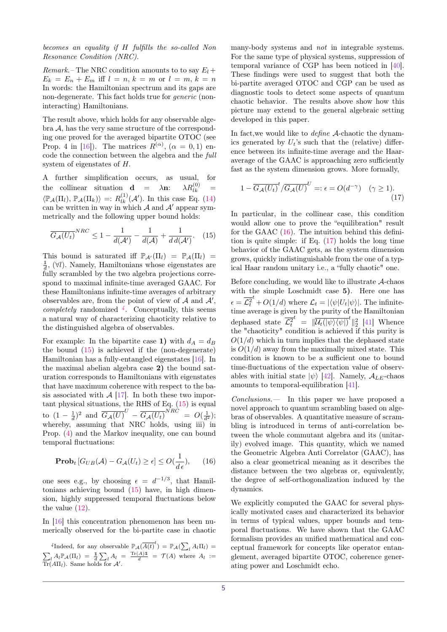*becomes an equality if H fulfills the so-called Non Resonance Condition (NRC).*

*Remark.*– The NRC condition amounts to to say  $E_l$  +  $E_k = E_n + E_m$  iff  $l = n, k = m$  or  $l = m, k = n$ In words: the Hamiltonian spectrum and its gaps are non-degenerate. This fact holds true for generic (noninteracting) Hamiltonians.

The result above, which holds for any observable algebra A*,* has the very same structure of the corresponding one proved for the averaged bipartite OTOC (see Prop. 4 in [\[16\]](#page-5-10)). The matrices  $R^{(\alpha)}$ ,  $(\alpha = 0, 1)$  encode the connection between the algebra and the full system of eigenstates of *H.*

A further simplification occurs, as usual, for<br>the collinear situation  $\mathbf{d} = \lambda \mathbf{n}$ :  $\lambda R_{lk}^{(0)} =$ the collinear situation **d** =  $\lambda$ **n**:  $\frac{d^{(0)}}{dk}$  =  $\langle \mathbb{P}_\mathcal{A}(\Pi_l), \mathbb{P}_\mathcal{A}(\Pi_k) \rangle =: R^{(1)}_{lk}(\mathcal{A}').$  In this case Eq. [\(14\)](#page-3-5) can be written in way in which  $A$  and  $A'$  appear symmetrically and the following upper bound holds:

$$
\overline{G_{\mathcal{A}}(U_{t})}^{NRC} \le 1 - \frac{1}{d(\mathcal{A})} - \frac{1}{d(\mathcal{A})} + \frac{1}{d d(\mathcal{A})}.
$$
 (15)

This bound is saturated iff  $\mathbb{P}_{\mathcal{A}}(\Pi_l) = \mathbb{P}_{\mathcal{A}}(\Pi_l) =$ 1  $\frac{1}{d}$ , (∀*l*). Namely, Hamiltonians whose eigenstates are fully scrambled by the two algebra projections correspond to maximal infinite-time averaged GAAC. For these Hamiltonians infinite-time averages of arbitrary observables are, from the point of view of  $A$  and  $A'$ , completely randomized *[4](#page-4-0)* . Conceptually, this seems a natural way of characterizing chaoticity relative to the distinguished algebra of observables.

For example: In the bipartite case 1) with  $d_A = d_B$ the bound [\(15\)](#page-4-1) is achieved if the (non-degenerate) Hamiltonian has a fully-entangled eigenstates [\[16\]](#page-5-10). In the maximal abelian algebra case **2)** the bound saturation corresponds to Hamiltonians with eigenstates that have maximum coherence with respect to the basis associated with  $A$  [\[17\]](#page-5-11). In both these two important physical situations, the RHS of Eq. [\(15\)](#page-4-1) is equal to  $(1 - \frac{1}{d})^2$  and  $\overline{G_{\mathcal{A}}(U)}^U - \overline{G_{\mathcal{A}}(U_t)}^{NRC} = O(\frac{1}{d^2});$ whereby, assuming that NRC holds, using iii) in Prop. [\(4\)](#page-3-6) and the Markov inequality, one can bound temporal fluctuations:

$$
\mathbf{Prob}_t \left[ G_{UB}(\mathcal{A}) - G_{\mathcal{A}}(U_t) \ge \epsilon \right] \le O(\frac{1}{d\epsilon}), \qquad (16)
$$

one sees e.g., by choosing  $\epsilon = d^{-1/3}$ , that Hamiltonians achieving bound [\(15\)](#page-4-1) have, in high dimension, highly suppressed temporal fluctuations below the value [\(12\)](#page-3-2).

In [\[16\]](#page-5-10) this concentration phenomenon has been numerically observed for the bi-partite case in chaotic

<span id="page-4-0"></span><sup>*4*</sup>Indeed, for any observable  $\mathbb{P}_{\mathcal{A}}(\overline{A(t)}^t) = \mathbb{P}_{\mathcal{A}}(\sum_l A_l \Pi_l)$  $\sum_{l} A_{l} \mathbb{P}_{A}(\Pi_{l}) = \frac{1}{d} \sum_{l} A_{l} = \frac{\text{Tr}(A) \mathbb{1}}{d} = \mathcal{T}(A)$  where  $A_{l}$ :=  $\overline{\text{Tr}}(A\Pi_l)$ . Same holds for  $\mathcal{A}'$ .

many-body systems and *not* in integrable systems. For the same type of physical systems, suppression of temporal variance of CGP has been noticed in [\[40\]](#page-5-29). These findings were used to suggest that both the bi-partite averaged OTOC and CGP can be used as diagnostic tools to detect some aspects of quantum chaotic behavior. The results above show how this picture may extend to the general algebraic setting developed in this paper.

In fact,we would like to define A-chaotic the dynamics generated by  $U_t$ 's such that the (relative) difference between its infinite-time average and the Haaraverage of the GAAC is approaching zero sufficiently fast as the system dimension grows. More formally,

<span id="page-4-3"></span>
$$
1 - \overline{G_{\mathcal{A}}(U_t)}^t / \overline{G_{\mathcal{A}}(U)}^U =: \epsilon = O(d^{-\gamma}) \quad (\gamma \ge 1).
$$
\n(17)

<span id="page-4-1"></span>In particular, in the collinear case, this condition would allow one to prove the "equilibration" result for the GAAC [\(16\)](#page-4-2). The intuition behind this definition is quite simple: if Eq. [\(17\)](#page-4-3) holds the long time behavior of the GAAC gets, as the system dimension grows, quickly indistinguishable from the one of a typical Haar random unitary i.e., a "fully chaotic" one.

Before concluding, we would like to illustrate  $A$ -chaos with the simple Loschmidt case **5)**. Here one has  $\epsilon = \mathcal{L}_t^2$  $\mathcal{L}^t$  +  $O(1/d)$  where  $\mathcal{L}_t = |\langle \psi | U_t | \psi \rangle|$ . The infinitetime average is given by the purity of the Hamiltonian dephased state  $\mathcal{L}_t^2$  $t = \|\overline{\mathcal{U}_t(|\psi\rangle\langle\psi|)}^t\|_2^2$  [\[41\]](#page-5-30) Whence the "chaoticity" condition is achieved if this purity is  $O(1/d)$  which in turn implies that the dephased state is  $O(1/d)$  away from the maximally mixed state. This condition is known to be a sufficient one to bound time-fluctuations of the expectation value of observables with initial state  $|\psi\rangle$  [\[42\]](#page-5-31). Namely,  $A_{LE}$ -chaos amounts to temporal-equilibration [\[41\]](#page-5-30).

Conclusions.— In this paper we have proposed a novel approach to quantum scrambling based on algebras of observables. A quantitative measure of scrambling is introduced in terms of anti-correlation between the whole commutant algebra and its (unitarily) evolved image. This quantity, which we named the Geometric Algebra Anti Correlator (GAAC), has also a clear geometrical meaning as it describes the distance between the two algebras or, equivalently, the degree of self-orthogonalization induced by the dynamics.

<span id="page-4-2"></span>We explicitly computed the GAAC for several physically motivated cases and characterized its behavior in terms of typical values, upper bounds and temporal fluctuations. We have shown that the GAAC formalism provides an unified mathematical and conceptual framework for concepts like operator entanglement, averaged bipartite OTOC, coherence generating power and Loschmidt echo.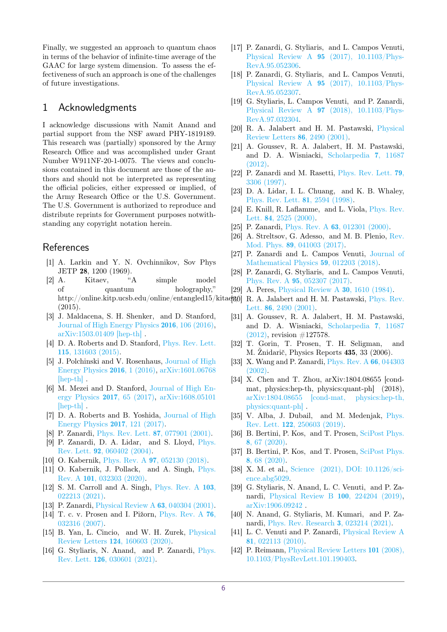Finally, we suggested an approach to quantum chaos in terms of the behavior of infinite-time average of the GAAC for large system dimension. To assess the effectiveness of such an approach is one of the challenges of future investigations.

# 1 Acknowledgments

I acknowledge discussions with Namit Anand and partial support from the NSF award PHY-1819189. This research was (partially) sponsored by the Army Research Office and was accomplished under Grant Number W911NF-20-1-0075. The views and conclusions contained in this document are those of the authors and should not be interpreted as representing the official policies, either expressed or implied, of the Army Research Office or the U.S. Government. The U.S. Government is authorized to reproduce and distribute reprints for Government purposes notwithstanding any copyright notation herein.

# **References**

- <span id="page-5-0"></span>[1] A. Larkin and Y. N. Ovchinnikov, Sov Phys JETP 28, 1200 (1969).
- [2] A. Kitaev, "A simple model of quantum holography," http://online.kitp.ucsb.edu/online/entangled15/kitae[30] R. A. Jalabert and H. M. Pastawski, [Phys. Rev.](https://doi.org/10.1103/PhysRevLett.86.2490) (2015).
- [3] J. Maldacena, S. H. Shenker, and D. Stanford, [Journal of High Energy Physics](https://doi.org/10.1007/JHEP08(2016)106) 2016, 106 (2016), [arXiv:1503.01409 \[hep-th\]](http://arxiv.org/abs/1503.01409) .
- [4] D. A. Roberts and D. Stanford, [Phys. Rev. Lett.](https://doi.org/10.1103/PhysRevLett.115.131603) 115[, 131603 \(2015\).](https://doi.org/10.1103/PhysRevLett.115.131603)
- [5] J. Polchinski and V. Rosenhaus, [Journal of High](https://doi.org/10.1007/JHEP04(2016)001) [Energy Physics](https://doi.org/10.1007/JHEP04(2016)001) 2016, 1 (2016), [arXiv:1601.06768](http://arxiv.org/abs/1601.06768) [\[hep-th\]](http://arxiv.org/abs/1601.06768) .
- [6] M. Mezei and D. Stanford, [Journal of High En](https://doi.org/10.1007/JHEP05(2017)065)[ergy Physics](https://doi.org/10.1007/JHEP05(2017)065) 2017, 65 (2017), [arXiv:1608.05101](http://arxiv.org/abs/1608.05101) [\[hep-th\]](http://arxiv.org/abs/1608.05101).
- <span id="page-5-1"></span>[7] D. A. Roberts and B. Yoshida, [Journal of High](https://doi.org/10.1007/JHEP04(2017)121) [Energy Physics](https://doi.org/10.1007/JHEP04(2017)121) 2017, 121 (2017).
- <span id="page-5-2"></span>[8] P. Zanardi, [Phys. Rev. Lett.](https://doi.org/10.1103/PhysRevLett.87.077901) 87, 077901 (2001).
- <span id="page-5-3"></span>[9] P. Zanardi, D. A. Lidar, and S. Lloyd, [Phys.](https://doi.org/10.1103/PhysRevLett.92.060402) Rev. Lett. 92[, 060402 \(2004\).](https://doi.org/10.1103/PhysRevLett.92.060402)
- <span id="page-5-4"></span>[10] O. Kabernik, Phys. Rev. A **97**[, 052130 \(2018\).](https://doi.org/10.1103/PhysRevA.97.052130)
- <span id="page-5-5"></span>[11] O. Kabernik, J. Pollack, and A. Singh, [Phys.](https://doi.org/10.1103/PhysRevA.101.032303) Rev. A 101[, 032303 \(2020\).](https://doi.org/10.1103/PhysRevA.101.032303)
- <span id="page-5-6"></span>[12] S. M. Carroll and A. Singh, [Phys. Rev. A](https://doi.org/10.1103/PhysRevA.103.022213) 103, [022213 \(2021\).](https://doi.org/10.1103/PhysRevA.103.022213)
- <span id="page-5-7"></span>[13] P. Zanardi, [Physical Review A](https://doi.org/10.1103/PhysRevA.63.040304) 63, 040304 (2001).
- <span id="page-5-8"></span>[14] T. c. v. Prosen and I. Pižorn, [Phys. Rev. A](https://doi.org/10.1103/PhysRevA.76.032316) 76, [032316 \(2007\).](https://doi.org/10.1103/PhysRevA.76.032316)
- <span id="page-5-9"></span>[15] B. Yan, L. Cincio, and W. H. Zurek, [Physical](https://doi.org/10.1103/PhysRevLett.124.160603) Review Letters 124[, 160603 \(2020\).](https://doi.org/10.1103/PhysRevLett.124.160603)
- <span id="page-5-10"></span>[16] G. Styliaris, N. Anand, and P. Zanardi, [Phys.](https://doi.org/10.1103/PhysRevLett.126.030601) Rev. Lett. 126[, 030601 \(2021\).](https://doi.org/10.1103/PhysRevLett.126.030601)
- <span id="page-5-11"></span>[17] P. Zanardi, G. Styliaris, and L. Campos Venuti, Physical Review A 95 [\(2017\), 10.1103/Phys-](https://doi.org/10.1103/PhysRevA.95.052306)[RevA.95.052306.](https://doi.org/10.1103/PhysRevA.95.052306)
- [18] P. Zanardi, G. Styliaris, and L. Campos Venuti, Physical Review A 95 [\(2017\), 10.1103/Phys-](https://doi.org/10.1103/PhysRevA.95.052307)[RevA.95.052307.](https://doi.org/10.1103/PhysRevA.95.052307)
- <span id="page-5-12"></span>[19] G. Styliaris, L. Campos Venuti, and P. Zanardi, Physical Review A 97 [\(2018\), 10.1103/Phys-](https://doi.org/10.1103/PhysRevA.97.032304)[RevA.97.032304.](https://doi.org/10.1103/PhysRevA.97.032304)
- <span id="page-5-13"></span>[20] R. A. Jalabert and H. M. Pastawski, [Physical](https://doi.org/10.1103/PhysRevLett.86.2490) [Review Letters](https://doi.org/10.1103/PhysRevLett.86.2490) 86, 2490 (2001).
- <span id="page-5-14"></span>[21] A. Goussev, R. A. Jalabert, H. M. Pastawski, and D. A. Wisniacki, [Scholarpedia](https://doi.org/10.4249/scholarpedia.11687) 7, 11687 [\(2012\).](https://doi.org/10.4249/scholarpedia.11687)
- <span id="page-5-15"></span>[22] P. Zanardi and M. Rasetti, [Phys. Rev. Lett.](https://doi.org/10.1103/PhysRevLett.79.3306) 79, [3306 \(1997\).](https://doi.org/10.1103/PhysRevLett.79.3306)
- <span id="page-5-16"></span>[23] D. A. Lidar, I. L. Chuang, and K. B. Whaley, [Phys. Rev. Lett.](https://doi.org/10.1103/PhysRevLett.81.2594) 81, 2594 (1998).
- <span id="page-5-17"></span>[24] E. Knill, R. Laflamme, and L. Viola, [Phys. Rev.](https://doi.org/10.1103/PhysRevLett.84.2525) Lett. 84[, 2525 \(2000\).](https://doi.org/10.1103/PhysRevLett.84.2525)
- <span id="page-5-18"></span>[25] P. Zanardi, *Phys. Rev. A* **63**[, 012301 \(2000\).](https://doi.org/10.1103/PhysRevA.63.012301)
- <span id="page-5-19"></span>[26] A. Streltsov, G. Adesso, and M. B. Plenio, [Rev.](https://doi.org/10.1103/RevModPhys.89.041003) Mod. Phys. 89[, 041003 \(2017\).](https://doi.org/10.1103/RevModPhys.89.041003)
- <span id="page-5-20"></span>[27] P. Zanardi and L. Campos Venuti, [Journal of](https://doi.org/10.1063/1.4997146) [Mathematical Physics](https://doi.org/10.1063/1.4997146) 59, 012203 (2018).
- <span id="page-5-21"></span>[28] P. Zanardi, G. Styliaris, and L. Campos Venuti, Phys. Rev. A 95[, 052307 \(2017\).](https://doi.org/10.1103/PhysRevA.95.052307)
- <span id="page-5-22"></span>[29] A. Peres, [Physical Review A](https://doi.org/10.1103/PhysRevA.30.1610) 30, 1610 (1984).
- Lett. 86[, 2490 \(2001\).](https://doi.org/10.1103/PhysRevLett.86.2490)
- [31] A. Goussev, R. A. Jalabert, H. M. Pastawski, and D. A. Wisniacki, [Scholarpedia](https://doi.org/10.4249/scholarpedia.11687) 7, 11687 [\(2012\),](https://doi.org/10.4249/scholarpedia.11687) revision #127578.
- <span id="page-5-23"></span>[32] T. Gorin, T. Prosen, T. H. Seligman, and M. Žnidarič, Physics Reports 435, 33 (2006).
- <span id="page-5-24"></span>[33] X. Wang and P. Zanardi, [Phys. Rev. A](https://doi.org/10.1103/PhysRevA.66.044303) 66, 044303 [\(2002\).](https://doi.org/10.1103/PhysRevA.66.044303)
- <span id="page-5-25"></span>[34] X. Chen and T. Zhou, arXiv:1804.08655 [condmat, physics:hep-th, physics:quant-ph] (2018), [arXiv:1804.08655 \[cond-mat, physics:hep-th,](http://arxiv.org/abs/1804.08655) [physics:quant-ph\]](http://arxiv.org/abs/1804.08655) .
- [35] V. Alba, J. Dubail, and M. Medenjak, [Phys.](https://doi.org/10.1103/PhysRevLett.122.250603) Rev. Lett. 122[, 250603 \(2019\).](https://doi.org/10.1103/PhysRevLett.122.250603)
- [36] B. Bertini, P. Kos, and T. Prosen, [SciPost Phys.](https://doi.org/10.21468/SciPostPhys.8.4.067) 8[, 67 \(2020\).](https://doi.org/10.21468/SciPostPhys.8.4.067)
- <span id="page-5-26"></span>[37] B. Bertini, P. Kos, and T. Prosen, [SciPost Phys.](https://doi.org/10.21468/SciPostPhys.8.4.068) 8[, 68 \(2020\).](https://doi.org/10.21468/SciPostPhys.8.4.068)
- <span id="page-5-27"></span>[38] X. M. et al., [Science \(2021\), DOI: 10.1126/sci](https://doi.org/DOI: 10.1126/science.abg5029)[ence.abg5029.](https://doi.org/DOI: 10.1126/science.abg5029)
- <span id="page-5-28"></span>[39] G. Styliaris, N. Anand, L. C. Venuti, and P. Zanardi, [Physical Review B](https://doi.org/10.1103/PhysRevB.100.224204) 100, 224204 (2019), [arXiv:1906.09242](http://arxiv.org/abs/1906.09242) .
- <span id="page-5-29"></span>[40] N. Anand, G. Styliaris, M. Kumari, and P. Zanardi, [Phys. Rev. Research](https://doi.org/ 10.1103/PhysRevResearch.3.023214) 3, 023214 (2021).
- <span id="page-5-30"></span>[41] L. C. Venuti and P. Zanardi, [Physical Review A](https://doi.org/10.1103/PhysRevA.81.022113) 81[, 022113 \(2010\).](https://doi.org/10.1103/PhysRevA.81.022113)
- <span id="page-5-31"></span>[42] P. Reimann, [Physical Review Letters](https://doi.org/10.1103/PhysRevLett.101.190403) 101 (2008), [10.1103/PhysRevLett.101.190403.](https://doi.org/10.1103/PhysRevLett.101.190403)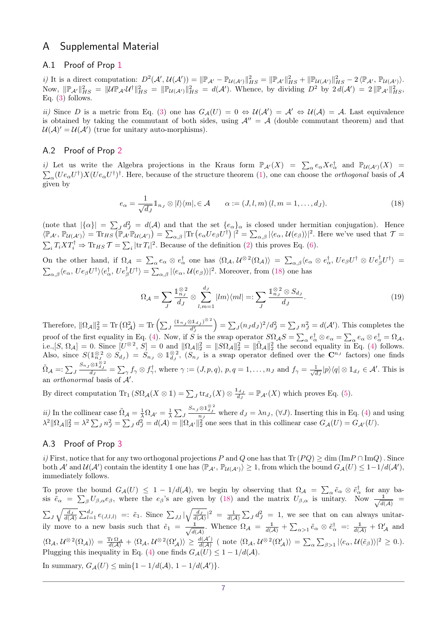# A Supplemental Material

# A.1 Proof of Prop [1](#page-1-4)

*i*) It is a direct computation:  $D^2(\mathcal{A}', \mathcal{U}(\mathcal{A}')) = \|\mathbb{P}_{\mathcal{A}'} - \mathbb{P}_{\mathcal{U}(\mathcal{A}')} \|_{HS}^2 = \|\mathbb{P}_{\mathcal{A}'} \|_{HS}^2 + \|\mathbb{P}_{\mathcal{U}(\mathcal{A}')} \|_{HS}^2 - 2 \langle \mathbb{P}_{\mathcal{A}'}, \mathbb{P}_{\mathcal{U}(\mathcal{A}')} \rangle$ . Now,  $\|\mathbb{P}_{\mathcal{A}'}\|_{HS}^2 = \|\mathcal{U}\mathbb{P}_{\mathcal{A}'}\mathcal{U}^{\dagger}\|_{HS}^2 = \|\mathbb{P}_{\mathcal{U}(\mathcal{A}')}\|_{HS}^2 = d(\mathcal{A}').$  Whence, by dividing  $D^2$  by  $2 d(\mathcal{A}') = 2 \|\mathbb{P}_{\mathcal{A}'}\|_{HS}^2$ , Eq. [\(3\)](#page-1-5) follows.

ii) Since *D* is a metric from Eq. [\(3\)](#page-1-5) one has  $G_{\mathcal{A}}(U) = 0 \Leftrightarrow \mathcal{U}(\mathcal{A}') = \mathcal{A}' \Leftrightarrow \mathcal{U}(\mathcal{A}) = \mathcal{A}$ . Last equivalence is obtained by taking the commutant of both sides, using  $A'' = A$  (double commutant theorem) and that  $\mathcal{U}(\mathcal{A})' = \mathcal{U}(\mathcal{A}')$  (true for unitary auto-morphisms).

# A.2 Proof of Prop [2](#page-1-3)

*i*) Let us write the Algebra projections in the Kraus form  $\mathbb{P}_{\mathcal{A}}(X) = \sum_{\alpha} e_{\alpha} X e_{\alpha}^{\dagger}$  and  $\mathbb{P}_{\mathcal{U}(\mathcal{A}')}(X) =$  $\sum_{\alpha} (U e_{\alpha} U^{\dagger}) X (U e_{\alpha} U^{\dagger})^{\dagger}$ . Here, because of the structure theorem [\(1\)](#page-0-2), one can choose the *orthogonal* basis of A given by

$$
e_{\alpha} = \frac{1}{\sqrt{d_J}} 1_{n_J} \otimes |l\rangle\langle m|, \in \mathcal{A} \qquad \alpha := (J, l, m) \ (l, m = 1, \dots, d_J). \tag{18}
$$

(note that  $|\{\alpha\}| = \sum_{J} d_{J}^{2} = d(\mathcal{A})$  and that the set  $\{e_{\alpha}\}_\alpha$  is closed under hermitian conjugation). Hence  $\langle \mathbb{P}_{\mathcal{A}',\mathbb{P}_{\mathcal{U}(\mathcal{A}')} \rangle = \text{Tr}_{HS}(\mathbb{P}_{\mathcal{A}'} \mathbb{P}_{\mathcal{U}(\mathcal{A}')} ) = \sum_{\alpha,\beta} |\text{Tr} (e_{\alpha} U e_{\beta} U^{\dagger})|^2 = \sum_{\alpha,\beta} |\langle e_{\alpha}, \mathcal{U}(e_{\beta}) \rangle|^2$ . Here we've used that  $\mathcal{T} =$  $\sum_i T_i X T_i^{\dagger} \Rightarrow \text{Tr}_{HS} \mathcal{T} = \sum_i |\text{tr } T_i|^2$ . Because of the definition [\(2\)](#page-1-0) this proves Eq. [\(6\)](#page-2-0).

On the other hand, if  $\Omega_{\mathcal{A}} = \sum_{\alpha} e_{\alpha} \otimes e_{\alpha}^{\dagger}$  one has  $\langle \Omega_{\mathcal{A}}, \mathcal{U}^{\otimes 2}(\Omega_{\mathcal{A}}) \rangle = \sum_{\alpha, \beta} \langle e_{\alpha} \otimes e_{\alpha}^{\dagger}, U e_{\beta} U^{\dagger} \otimes U e_{\beta}^{\dagger} U^{\dagger} \rangle =$  $\sum_{\alpha,\beta} \langle e_{\alpha}, U e_{\beta} U^{\dagger} \rangle \langle e_{\alpha}^{\dagger}, U e_{\beta}^{\dagger} U^{\dagger} \rangle = \sum_{\alpha,\beta} |\langle e_{\alpha}, U (e_{\beta}) \rangle|^{2}$ . Moreover, from [\(18\)](#page-6-0) one has

<span id="page-6-0"></span>
$$
\Omega_{\mathcal{A}} = \sum_{J} \frac{\mathbb{1}_{n_J}^{\otimes 2}}{d_J} \otimes \sum_{l,m=1}^{d_J} |lm\rangle\langle ml| =: \sum_{J} \frac{\mathbb{1}_{n_J}^{\otimes 2} \otimes S_{d_J}}{d_J}.
$$
\n(19)

Therefore,  $\|\Omega_{\mathcal{A}}\|_2^2 = \text{Tr} \left( \Omega_{\mathcal{A}}^2 \right) = \text{Tr} \left( \sum_J \frac{(\mathbb{1}_{n_J} \otimes \mathbb{1}_{d_J})^{\otimes 2}}{d_{\tau}^2} \right)$  $d_j^2$  $\sum_{J} (n_{J}d_{J})^{2}/d_{J}^{2} = \sum_{J} n_{J}^{2} = d(\mathcal{A}')$ . This completes the proof of the first equality in Eq. [\(4\)](#page-1-2). Now, if *S* is the swap operator  $S_{\alpha}^{\Omega} A S = \sum_{\alpha} e_{\alpha}^{\dagger} \otimes e_{\alpha} = \sum_{\alpha} e_{\alpha} \otimes e_{\alpha}^{\dagger} = \Omega_{A}$ , i.e., $[S, \Omega_{\mathcal{A}}] = 0$ . Since  $[U^{\otimes 2}, S] = 0$  and  $\|\Omega_{\mathcal{A}}\|_2^2 = \|S\Omega_{\mathcal{A}}\|_2^2 = \|\tilde{\Omega}_{\mathcal{A}}\|_2^2$  the second equality in Eq. [\(4\)](#page-1-2) follows. Also, since  $S(\mathbb{1}_{nj}^{\otimes 2} \otimes S_{d_j}) = S_{n_j} \otimes \mathbb{1}_{d_j}^{\otimes 2}$ ,  $(S_{n_j}$  is a swap operator defined over the  $\mathbb{C}^{n_j}$  factors) one finds  $\tilde{\Omega}_{\mathcal{A}} =: \sum_J$  $\frac{S_{n_J} \otimes \mathbb{1}_{d_J}^{\otimes 2}}{d_J} = \sum_{\gamma} f_{\gamma} \otimes f_{\gamma}^{\dagger}$ , where  $\gamma := (J, p, q), p, q = 1, \ldots, n_J$  and  $f_{\gamma} = \frac{1}{\sqrt{c}}$  $\frac{1}{\overline{d}_J}|p\rangle\langle q| \otimes \mathbb{1}_{d_J} \in \mathcal{A}'$ . This is an orthonormal basis of  $A$ *.*

By direct computation  $\text{Tr}_1(S\Omega_{\mathcal{A}}(X\otimes \mathbb{1}) = \sum_J \text{tr}_{d_J}(X) \otimes \frac{\mathbb{1}_{d_J}}{d_J} = \mathbb{P}_{\mathcal{A}'}(X)$  which proves Eq. [\(5\)](#page-1-6).

*ii*) In the collinear case  $\tilde{\Omega}_{\mathcal{A}} = \frac{1}{\lambda} \Omega_{\mathcal{A}'} = \frac{1}{\lambda} \sum_{J}$  $\frac{S_{n_J} \otimes \mathbb{1}_{d_J}^{\otimes 2}}{n_J}$  where  $d_J = \lambda n_J$ , (∀*J*). Inserting this in Eq. [\(4\)](#page-1-2) and using  $\lambda^2 \|\Omega_{\mathcal{A}}\|_2^2 = \lambda^2 \sum_J n_J^2 = \sum_J d_J^2 = d(\mathcal{A}) = \|\Omega_{\mathcal{A}'}\|_2^2$  one sees that in this collinear case  $G_{\mathcal{A}}(U) = G_{\mathcal{A}'}(U)$ .

## A.3 Proof of Prop [3](#page-3-1)

i) First, notice that for any two orthogonal projections *P* and *Q* one has that  $\text{Tr}(PQ) \geq \dim(\text{Im}P \cap \text{Im}Q)$ . Since  $\text{both } A' \text{ and } \mathcal{U}(A') \text{ contain the identity } \mathbb{1} \text{ one has } \langle \mathbb{P}_{A'}, \mathbb{P}_{\mathcal{U}(A')} \rangle \geq 1, \text{ from which the bound } G_A(U) \leq 1-1/d(\mathcal{A}'),$ immediately follows.

To prove the bound  $G_{\mathcal{A}}(U) \leq 1 - 1/d(\mathcal{A})$ , we begin by observing that  $\Omega_{\mathcal{A}} = \sum_{\alpha} \tilde{e}_{\alpha} \otimes \tilde{e}_{\alpha}^{\dagger}$  for any ba- $\epsilon_{\alpha} = \sum_{\beta} U_{\beta,\alpha} e_{\beta}$ , where the *e<sub>β</sub>*'s are given by [\(18\)](#page-6-0) and the matrix  $U_{\beta,\alpha}$  is unitary. Now  $\frac{1}{\sqrt{d}}$  $\frac{1}{d(\mathcal{A})}$  =  $\sum_{J} \sqrt{\frac{d_J}{d(A)}} \sum_{l=1}^{d_J} e_{(J,l,l)} =: \tilde{e}_1.$  Since  $\sum_{J,l} |\sqrt{\frac{d_J}{d(A)}}|^2 = \frac{1}{d(A)} \sum_{J} d_J^2 = 1$ , we see that on can always unitarily move to a new basis such that  $\tilde{e}_1 = \frac{1}{\sqrt{10}}$  $\frac{1}{d(\mathcal{A})}$ . Whence  $\Omega_{\mathcal{A}} = \frac{1}{d(\mathcal{A})} + \sum_{\alpha>1} \tilde{e}_{\alpha} \otimes \tilde{e}_{\alpha}^{\dagger} =: \frac{1}{d(\mathcal{A})} + \Omega_{\mathcal{A}}^{\prime}$  and  $\langle \Omega_A, \mathcal{U}^{\otimes 2}(\Omega_\mathcal{A}) \rangle = \frac{\text{Tr} \Omega_\mathcal{A}}{d(\mathcal{A})} + \langle \Omega_\mathcal{A}, \mathcal{U}^{\otimes 2}(\Omega'_\mathcal{A}) \rangle \geq \frac{d(\mathcal{A}')}{d(\mathcal{A})}$  $\frac{d(\mathcal{A})}{d(\mathcal{A})}$  (note  $\langle \Omega_{\mathcal{A}}, \mathcal{U}^{\otimes 2}(\Omega_{\mathcal{A}}') \rangle = \sum_{\alpha} \sum_{\beta > 1} |\langle e_{\alpha}, \mathcal{U}(\tilde{e}_{\beta}) \rangle|^2 \geq 0.$ ). Plugging this inequality in Eq. [\(4\)](#page-1-2) one finds  $G_{\mathcal{A}}(U) \leq 1 - 1/d(\mathcal{A})$ .

In summary,  $G_{\mathcal{A}}(U)$  ≤ min{1 − 1/d( $\mathcal{A}$ )*,* 1 − 1/d( $\mathcal{A}'$ )}*.*